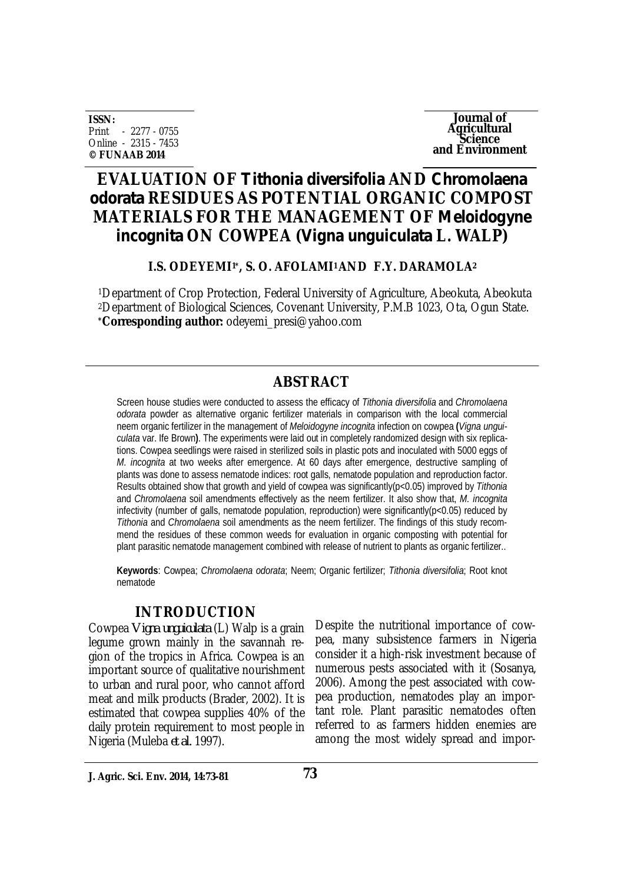**ISSN:** Print - 2277 - 0755 Online - 2315 - 7453 **© FUNAAB 2014**

**Journal of Agricultural Science and Environment**

# **EVALUATION OF** *Tithonia diversifolia* **AND** *Chromolaena odorata* **RESIDUES AS POTENTIAL ORGANIC COMPOST MATERIALS FOR THE MANAGEMENT OF** *Meloidogyne incognita* **ON COWPEA (***Vigna unguiculata* **L. WALP)**

### **I.S. ODEYEMI1\*, S. O. AFOLAMI1 AND F.Y. DARAMOLA<sup>2</sup>**

<sup>1</sup>Department of Crop Protection, Federal University of Agriculture, Abeokuta, Abeokuta <sup>2</sup>Department of Biological Sciences, Covenant University, P.M.B 1023, Ota, Ogun State. **\*Corresponding author:** odeyemi\_presi@yahoo.com

# **ABSTRACT**

Screen house studies were conducted to assess the efficacy of *Tithonia diversifolia* and *Chromolaena odorata* powder as alternative organic fertilizer materials in comparison with the local commercial neem organic fertilizer in the management of *Meloidogyne incognita* infection on cowpea **(***Vigna unguiculata* var. Ife Brown**)**. The experiments were laid out in completely randomized design with six replications. Cowpea seedlings were raised in sterilized soils in plastic pots and inoculated with 5000 eggs of *M. incognita* at two weeks after emergence. At 60 days after emergence, destructive sampling of plants was done to assess nematode indices: root galls, nematode population and reproduction factor. Results obtained show that growth and yield of cowpea was significantly(p<0.05) improved by *Tithonia* and *Chromolaena* soil amendments effectively as the neem fertilizer. It also show that, *M. incognita* infectivity (number of galls, nematode population, reproduction) were significantly(p<0.05) reduced by *Tithonia* and *Chromolaena* soil amendments as the neem fertilizer. The findings of this study recommend the residues of these common weeds for evaluation in organic composting with potential for plant parasitic nematode management combined with release of nutrient to plants as organic fertilizer..

**Keywords**: Cowpea; *Chromolaena odorata*; Neem; Organic fertilizer; *Tithonia diversifolia*; Root knot nematode

# **INTRODUCTION**

Cowpea *Vigna unguiculata* (L) Walp is a grain legume grown mainly in the savannah region of the tropics in Africa. Cowpea is an important source of qualitative nourishment to urban and rural poor, who cannot afford meat and milk products (Brader, 2002). It is estimated that cowpea supplies 40% of the daily protein requirement to most people in Nigeria (Muleba *et al.* 1997).

Despite the nutritional importance of cowpea, many subsistence farmers in Nigeria consider it a high-risk investment because of numerous pests associated with it (Sosanya, 2006). Among the pest associated with cowpea production, nematodes play an important role. Plant parasitic nematodes often referred to as farmers hidden enemies are among the most widely spread and impor-

**J. Agric. Sci. Env. 2014, 14:73-81**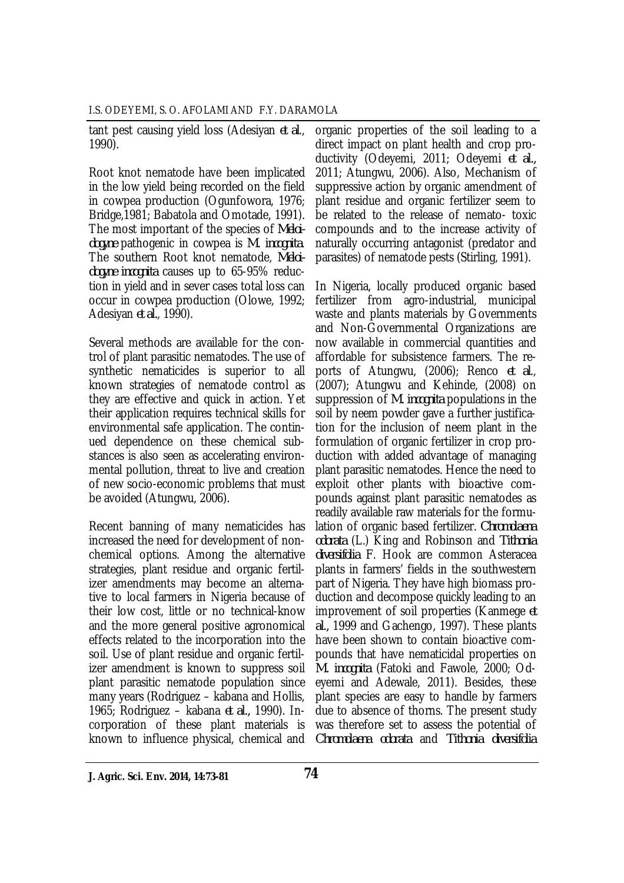I.S. ODEYEMI, S. O. AFOLAMI AND F.Y. DARAMOLA

tant pest causing yield loss (Adesiyan *et al*., 1990).

Root knot nematode have been implicated in the low yield being recorded on the field in cowpea production (Ogunfowora, 1976; Bridge,1981; Babatola and Omotade, 1991). The most important of the species of *Meloidogyne* pathogenic in cowpea is *M. incognita*. The southern Root knot nematode, *Meloidogyne incognita* causes up to 65-95% reduction in yield and in sever cases total loss can occur in cowpea production (Olowe, 1992; Adesiyan *et al.*, 1990).

Several methods are available for the control of plant parasitic nematodes. The use of synthetic nematicides is superior to all known strategies of nematode control as they are effective and quick in action. Yet their application requires technical skills for environmental safe application. The continued dependence on these chemical substances is also seen as accelerating environmental pollution, threat to live and creation of new socio-economic problems that must be avoided (Atungwu, 2006).

Recent banning of many nematicides has increased the need for development of nonchemical options. Among the alternative strategies, plant residue and organic fertilizer amendments may become an alternative to local farmers in Nigeria because of their low cost, little or no technical-know and the more general positive agronomical effects related to the incorporation into the soil. Use of plant residue and organic fertilizer amendment is known to suppress soil plant parasitic nematode population since many years (Rodriguez – kabana and Hollis, 1965; Rodriguez – kabana *et al.,* 1990). Incorporation of these plant materials is known to influence physical, chemical and

organic properties of the soil leading to a direct impact on plant health and crop productivity (Odeyemi, 2011; Odeyemi *et al.,* 2011; Atungwu, 2006). Also, Mechanism of suppressive action by organic amendment of plant residue and organic fertilizer seem to be related to the release of nemato- toxic compounds and to the increase activity of naturally occurring antagonist (predator and parasites) of nematode pests (Stirling, 1991).

In Nigeria, locally produced organic based fertilizer from agro-industrial, municipal waste and plants materials by Governments and Non-Governmental Organizations are now available in commercial quantities and affordable for subsistence farmers. The reports of Atungwu, (2006); Renco *et al*., (2007); Atungwu and Kehinde, (2008) on suppression of *M. incognita* populations in the soil by neem powder gave a further justification for the inclusion of neem plant in the formulation of organic fertilizer in crop production with added advantage of managing plant parasitic nematodes. Hence the need to exploit other plants with bioactive compounds against plant parasitic nematodes as readily available raw materials for the formulation of organic based fertilizer. *Chromolaena odorata* (L.) King and Robinson and *Tithonia diversifolia* F. Hook are common Asteracea plants in farmers' fields in the southwestern part of Nigeria. They have high biomass production and decompose quickly leading to an improvement of soil properties (Kanmege *et al.,* 1999 and Gachengo, 1997). These plants have been shown to contain bioactive compounds that have nematicidal properties on *M. incognita* (Fatoki and Fawole, 2000; Odeyemi and Adewale, 2011). Besides, these plant species are easy to handle by farmers due to absence of thorns. The present study was therefore set to assess the potential of *Chromolaena odorata* and *Tithonia diversifolia*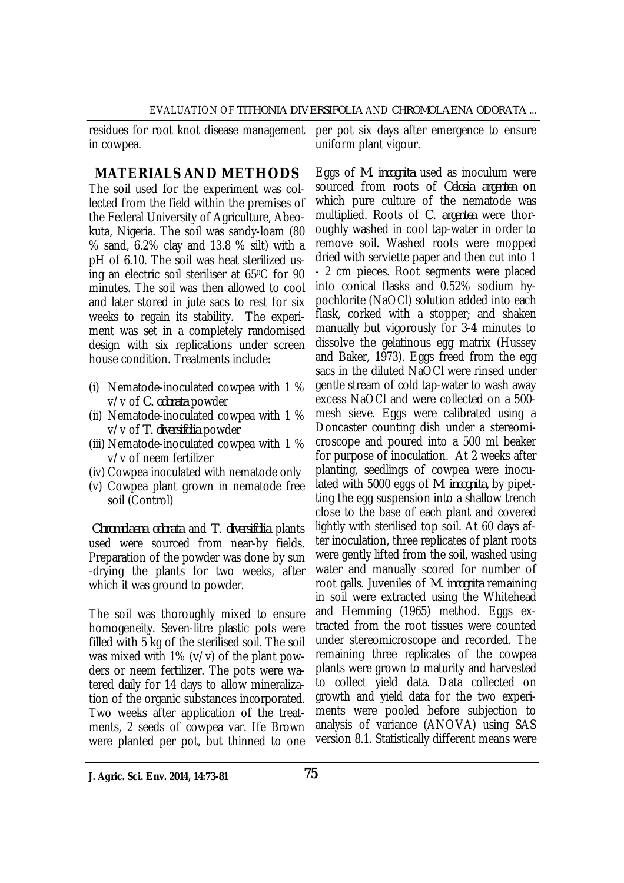residues for root knot disease management in cowpea.

per pot six days after emergence to ensure uniform plant vigour.

## **MATERIALS AND METHODS**

The soil used for the experiment was collected from the field within the premises of the Federal University of Agriculture, Abeokuta, Nigeria. The soil was sandy-loam (80 % sand, 6.2% clay and 13.8 % silt) with a pH of 6.10. The soil was heat sterilized using an electric soil steriliser at 650C for 90 minutes. The soil was then allowed to cool and later stored in jute sacs to rest for six weeks to regain its stability. The experiment was set in a completely randomised design with six replications under screen house condition. Treatments include:

- (i) Nematode-inoculated cowpea with 1 % v/v of *C. odorata* powder
- (ii) Nematode-inoculated cowpea with 1 % v/v of *T. diversifolia* powder
- (iii) Nematode-inoculated cowpea with 1 % v/v of neem fertilizer
- (iv) Cowpea inoculated with nematode only
- (v) Cowpea plant grown in nematode free soil (Control)

*Chromolaena odorata* and *T. diversifolia* plants used were sourced from near-by fields. Preparation of the powder was done by sun -drying the plants for two weeks, after which it was ground to powder.

The soil was thoroughly mixed to ensure homogeneity. Seven-litre plastic pots were filled with 5 kg of the sterilised soil. The soil was mixed with 1% (v/v) of the plant powders or neem fertilizer. The pots were watered daily for 14 days to allow mineralization of the organic substances incorporated. Two weeks after application of the treatments, 2 seeds of cowpea var. Ife Brown were planted per pot, but thinned to one

Eggs of *M. incognita* used as inoculum were sourced from roots of *Celosia argentea* on which pure culture of the nematode was multiplied. Roots of *C. argentea* were thoroughly washed in cool tap-water in order to remove soil. Washed roots were mopped dried with serviette paper and then cut into 1 - 2 cm pieces. Root segments were placed into conical flasks and 0.52% sodium hypochlorite (NaOCl) solution added into each flask, corked with a stopper; and shaken manually but vigorously for 3-4 minutes to dissolve the gelatinous egg matrix (Hussey and Baker, 1973). Eggs freed from the egg sacs in the diluted NaOCl were rinsed under gentle stream of cold tap-water to wash away excess NaOCl and were collected on a 500 mesh sieve. Eggs were calibrated using a Doncaster counting dish under a stereomicroscope and poured into a 500 ml beaker for purpose of inoculation. At 2 weeks after planting, seedlings of cowpea were inoculated with 5000 eggs of *M*. *incognita,* by pipetting the egg suspension into a shallow trench close to the base of each plant and covered lightly with sterilised top soil. At 60 days after inoculation, three replicates of plant roots were gently lifted from the soil, washed using water and manually scored for number of root galls. Juveniles of *M. incognita* remaining in soil were extracted using the Whitehead and Hemming (1965) method. Eggs extracted from the root tissues were counted under stereomicroscope and recorded. The remaining three replicates of the cowpea plants were grown to maturity and harvested to collect yield data. Data collected on growth and yield data for the two experiments were pooled before subjection to analysis of variance (ANOVA) using SAS version 8.1. Statistically different means were

**J. Agric. Sci. Env. 2014, 14:73-81 75**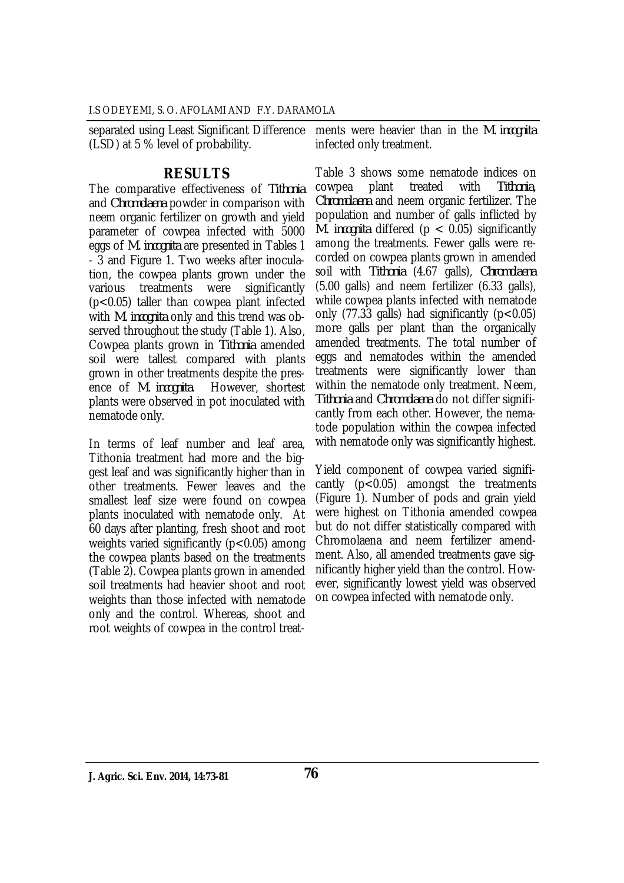(LSD) at 5 % level of probability.

separated using Least Significant Difference ments were heavier than in the *M. incognita* infected only treatment.

### **RESULTS**

The comparative effectiveness of *Tithonia* and *Chromolaena* powder in comparison with neem organic fertilizer on growth and yield parameter of cowpea infected with 5000 eggs of *M. incognita* are presented in Tables 1 - 3 and Figure 1. Two weeks after inoculation, the cowpea plants grown under the various treatments were significantly (p<0.05) taller than cowpea plant infected with *M. incognita* only and this trend was observed throughout the study (Table 1). Also, Cowpea plants grown in *Tithonia* amended soil were tallest compared with plants grown in other treatments despite the pres-<br>ence of *M. incognita*. However, shortest ence of *M. incognita*. plants were observed in pot inoculated with nematode only.

In terms of leaf number and leaf area, Tithonia treatment had more and the biggest leaf and was significantly higher than in other treatments. Fewer leaves and the smallest leaf size were found on cowpea plants inoculated with nematode only. At 60 days after planting, fresh shoot and root weights varied significantly  $(p<0.05)$  among the cowpea plants based on the treatments (Table 2). Cowpea plants grown in amended soil treatments had heavier shoot and root weights than those infected with nematode only and the control. Whereas, shoot and root weights of cowpea in the control treat-

Table 3 shows some nematode indices on cowpea plant treated with *Tithonia*, *Chromolaena* and neem organic fertilizer. The population and number of galls inflicted by *M. incognita* differed (p < 0.05) significantly among the treatments. Fewer galls were recorded on cowpea plants grown in amended soil with *Tithonia* (4.67 galls), *Chromolaena* (5.00 galls) and neem fertilizer (6.33 galls), while cowpea plants infected with nematode only (77.33 galls) had significantly ( $p < 0.05$ ) more galls per plant than the organically amended treatments. The total number of eggs and nematodes within the amended treatments were significantly lower than within the nematode only treatment. Neem, *Tithonia* and *Chromolaena* do not differ significantly from each other. However, the nematode population within the cowpea infected with nematode only was significantly highest.

Yield component of cowpea varied significantly  $(p<0.05)$  amongst the treatments (Figure 1). Number of pods and grain yield were highest on Tithonia amended cowpea but do not differ statistically compared with Chromolaena and neem fertilizer amendment. Also, all amended treatments gave significantly higher yield than the control. However, significantly lowest yield was observed on cowpea infected with nematode only.

**J. Agric. Sci. Env. 2014, 14:73-81 76**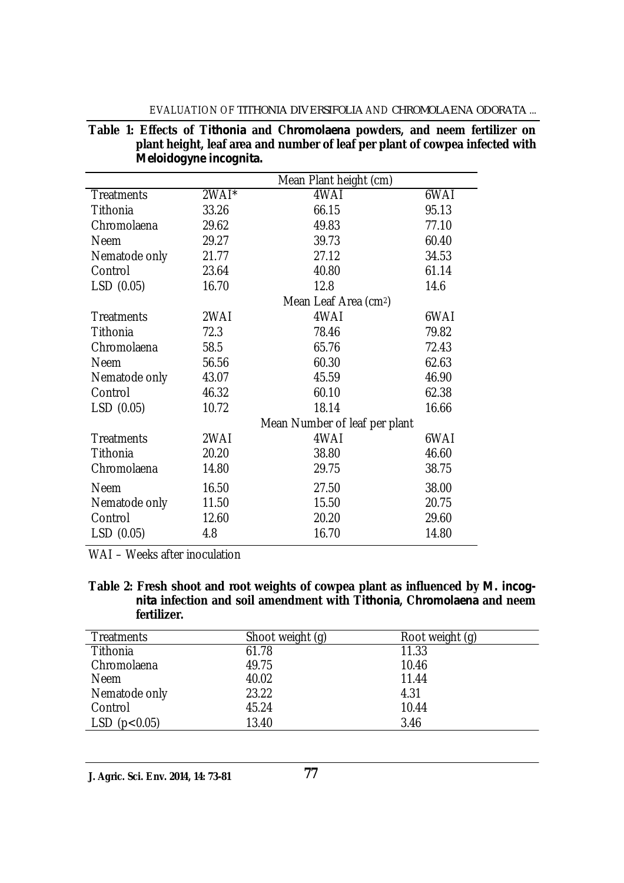#### EVALUATION OF *TITHONIA DIVERSIFOLIA* AND *CHROMOLAENA ODORATA* ...

|  |  |                        | Table 1: Effects of Tithonia and Chromolaena powders, and neem fertilizer on |  |  |  |
|--|--|------------------------|------------------------------------------------------------------------------|--|--|--|
|  |  |                        | plant height, leaf area and number of leaf per plant of cowpea infected with |  |  |  |
|  |  | Meloidogyne incognita. |                                                                              |  |  |  |

|                   | Mean Plant height (cm) |                                   |       |
|-------------------|------------------------|-----------------------------------|-------|
| <b>Treatments</b> | 2WAI*                  | 4WAI                              | 6WAI  |
| Tithonia          | 33.26                  | 66.15                             | 95.13 |
| Chromolaena       | 29.62                  | 49.83                             | 77.10 |
| <b>Neem</b>       | 29.27                  | 39.73                             | 60.40 |
| Nematode only     | 21.77                  | 27.12                             | 34.53 |
| Control           | 23.64                  | 40.80                             | 61.14 |
| LSD (0.05)        | 16.70                  | 12.8                              | 14.6  |
|                   |                        | Mean Leaf Area (cm <sup>2</sup> ) |       |
| <b>Treatments</b> | 2WAI                   | 4WAI                              | 6WAI  |
| Tithonia          | 72.3                   | 78.46                             | 79.82 |
| Chromolaena       | 58.5                   | 65.76                             | 72.43 |
| <b>Neem</b>       | 56.56                  | 60.30                             | 62.63 |
| Nematode only     | 43.07                  | 45.59                             | 46.90 |
| Control           | 46.32                  | 60.10                             | 62.38 |
| LSD(0.05)         | 10.72                  | 18.14                             | 16.66 |
|                   |                        | Mean Number of leaf per plant     |       |
| <b>Treatments</b> | 2WAI                   | 4WAI                              | 6WAI  |
| Tithonia          | 20.20                  | 38.80                             | 46.60 |
| Chromolaena       | 14.80                  | 29.75                             | 38.75 |
| <b>Neem</b>       | 16.50                  | 27.50                             | 38.00 |
| Nematode only     | 11.50                  | 15.50                             | 20.75 |
| Control           | 12.60                  | 20.20                             | 29.60 |
| LSD(0.05)         | 4.8                    | 16.70                             | 14.80 |

WAI – Weeks after inoculation

**Table 2: Fresh shoot and root weights of cowpea plant as influenced by** *M. incognita* **infection and soil amendment with T***ithonia***, C***hromolaena* **and neem fertilizer.**

| <b>Treatments</b> | Shoot weight (g) | Root weight (g) |
|-------------------|------------------|-----------------|
| Tithonia          | 61.78            | 11.33           |
| Chromolaena       | 49.75            | 10.46           |
| <b>Neem</b>       | 40.02            | 11.44           |
| Nematode only     | 23.22            | 4.31            |
| Control           | 45.24            | 10.44           |
| LSD(p<0.05)       | 13.40            | 3.46            |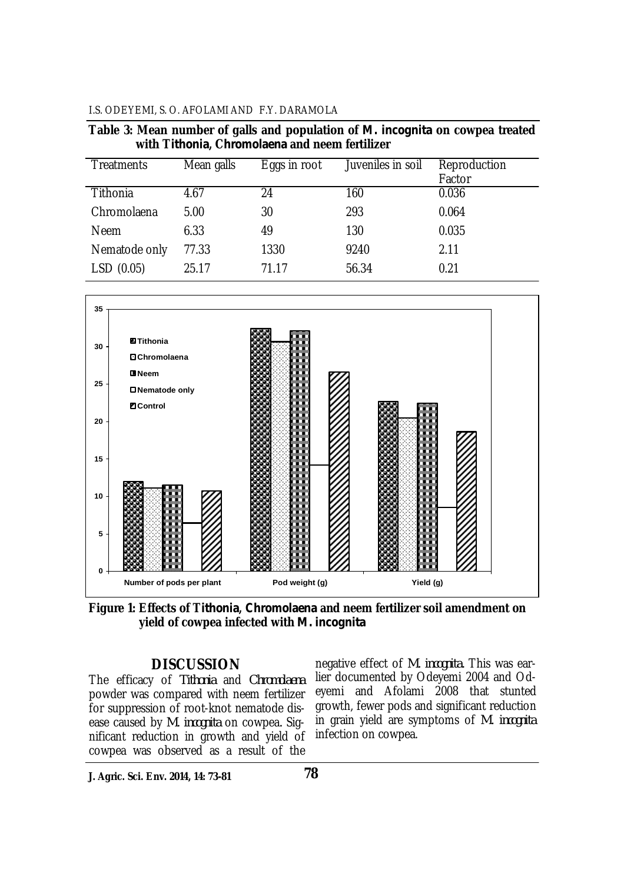#### I.S. ODEYEMI, S. O. AFOLAMI AND F.Y. DARAMOLA

| Table 3: Mean number of galls and population of <i>M. incognita</i> on cowpea treated |  |                                                |  |  |
|---------------------------------------------------------------------------------------|--|------------------------------------------------|--|--|
|                                                                                       |  | with Tithonia, Chromolaena and neem fertilizer |  |  |

| <b>Treatments</b> | Mean galls | Eggs in root | Juveniles in soil | Reproduction<br>Factor |
|-------------------|------------|--------------|-------------------|------------------------|
| Tithonia          | 4.67       | 24           | 160               | 0.036                  |
| Chromolaena       | 5.00       | 30           | 293               | 0.064                  |
| <b>Neem</b>       | 6.33       | 49           | 130               | 0.035                  |
| Nematode only     | 77.33      | 1330         | 9240              | 2.11                   |
| LSD(0.05)         | 25.17      | 71.17        | 56.34             | 0.21                   |



**Figure 1: Effects of T***ithonia***,** *Chromolaena* **and neem fertilizer soil amendment on yield of cowpea infected with** *M. incognita*

### **DISCUSSION**

The efficacy of *Tithonia* and *Chromolaena* powder was compared with neem fertilizer for suppression of root-knot nematode disease caused by *M. incognita* on cowpea*.* Significant reduction in growth and yield of cowpea was observed as a result of the

negative effect of *M. incognita.* This was earlier documented by Odeyemi 2004 and Odeyemi and Afolami 2008 that stunted growth, fewer pods and significant reduction in grain yield are symptoms of *M. incognita*  infection on cowpea.

**J. Agric. Sci. Env. 2014, 14: 73-81**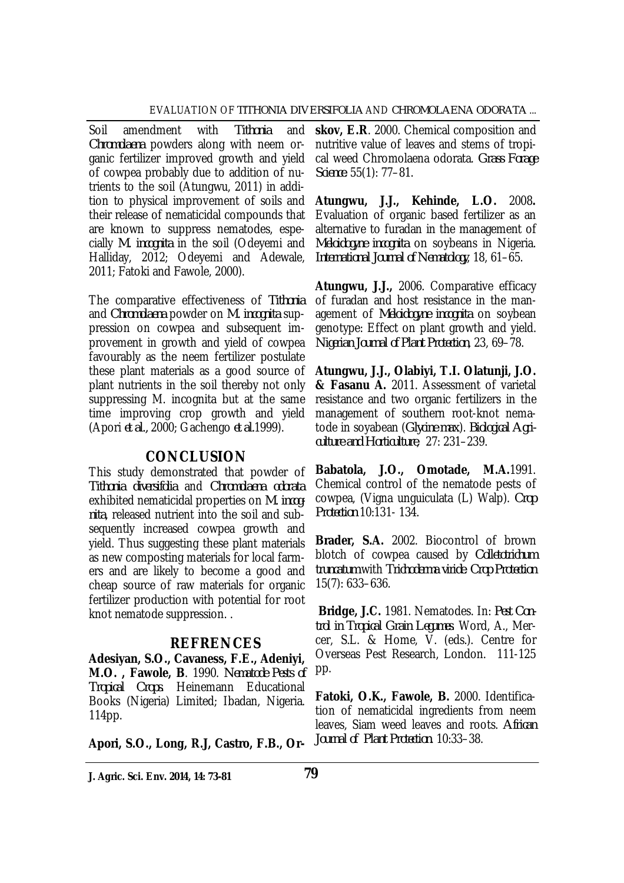Soil amendment with *Tithonia* and *Chromolaena* powders along with neem organic fertilizer improved growth and yield of cowpea probably due to addition of nutrients to the soil (Atungwu, 2011) in addition to physical improvement of soils and their release of nematicidal compounds that are known to suppress nematodes, especially *M. incognita* in the soil (Odeyemi and Halliday, 2012; Odeyemi and Adewale, 2011; Fatoki and Fawole, 2000).

The comparative effectiveness of *Tithonia* and *Chromolaena* powder on *M. incognita* suppression on cowpea and subsequent improvement in growth and yield of cowpea favourably as the neem fertilizer postulate these plant materials as a good source of plant nutrients in the soil thereby not only suppressing M. incognita but at the same time improving crop growth and yield (Apori *et al.,* 2000; Gachengo *et al.*1999).

### **CONCLUSION**

This study demonstrated that powder of *Tithonia diversifolia* and *Chromolaena odorata* exhibited nematicidal properties on *M. incognita*, released nutrient into the soil and subsequently increased cowpea growth and yield. Thus suggesting these plant materials as new composting materials for local farmers and are likely to become a good and cheap source of raw materials for organic fertilizer production with potential for root knot nematode suppression. .

# **REFRENCES**

**Adesiyan, S.O., Cavaness, F.E., Adeniyi, M.O. , Fawole, B**. 1990. *Nematode Pests of Tropical Crops*. Heinemann Educational Books (Nigeria) Limited; Ibadan, Nigeria. 114pp.

**Apori, S.O., Long, R.J, Castro, F.B., Or-**

**J. Agric. Sci. Env. 2014, 14: 73-81 79**

**skov, E.R**. 2000. Chemical composition and nutritive value of leaves and stems of tropical weed Chromolaena odorata. *Grass Forage Science*. 55(1): 77–81.

**Atungwu, J.J., Kehinde, L.O.** 2008**.** Evaluation of organic based fertilizer as an alternative to furadan in the management of *Meloidogyne incognita* on soybeans in Nigeria. *International Journal of Nematology*, 18, 61–65.

**Atungwu, J.J.,** 2006. Comparative efficacy of furadan and host resistance in the management of *Meloidogyne incognita* on soybean genotype: Effect on plant growth and yield. *Nigerian Journal of Plant Protection*, 23, 69–78.

**Atungwu, J.J., Olabiyi, T.I. Olatunji, J.O. & Fasanu A.** 2011. Assessment of varietal resistance and two organic fertilizers in the management of southern root-knot nematode in soyabean (*Glycine max*). *Biological Agriculture and Horticulture*, 27: 231–239.

**Babatola, J.O., Omotade, M.A.**1991. Chemical control of the nematode pests of cowpea, (Vigna unguiculata (L) Walp). *Crop Protection* 10:131- 134.

**Brader, S.A.** 2002. Biocontrol of brown blotch of cowpea caused by *Colletotrichum truncatum* with *Trichoderma viride*. *Crop Protection* 15(7): 633–636.

**Bridge, J.C.** 1981. Nematodes. In: *Pest Control in Tropical Grain Legumes*. Word, A., Mercer, S.L. & Home, V. (eds.). Centre for Overseas Pest Research, London. 111-125 pp.

**Fatoki, O.K., Fawole, B.** 2000. Identification of nematicidal ingredients from neem leaves, Siam weed leaves and roots. *African Journal of Plant Protection*. 10:33–38.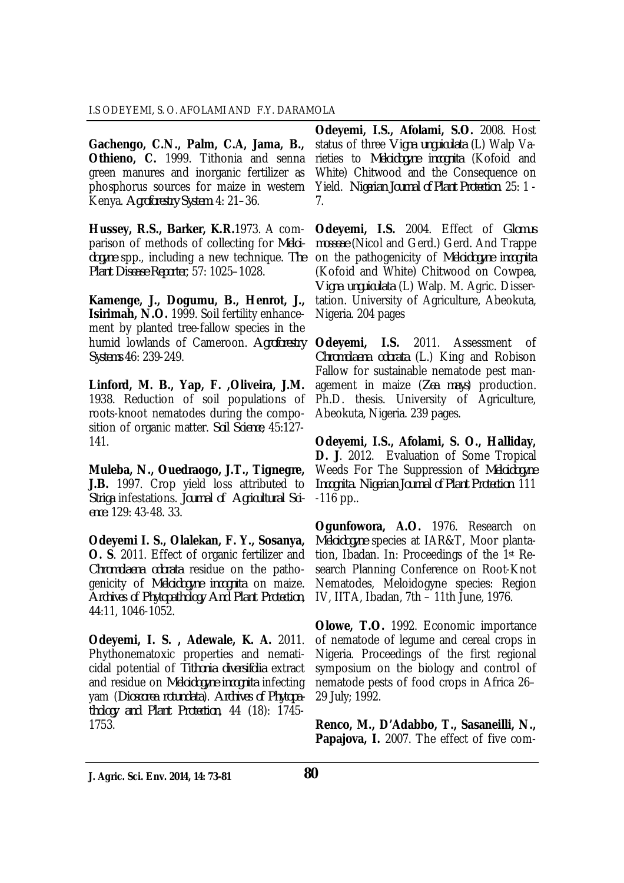**Gachengo, C.N., Palm, C.A, Jama, B., Othieno, C.** 1999. Tithonia and senna green manures and inorganic fertilizer as phosphorus sources for maize in western Kenya. *Agroforestry System*. 4: 21–36.

**Hussey, R.S., Barker, K.R.**1973. A comparison of methods of collecting for *Meloidogyne* spp., including a new technique. *The Plant Disease Reporter*, 57: 1025–1028.

**Kamenge, J., Dogumu, B., Henrot, J., Isirimah, N.O.** 1999. Soil fertility enhancement by planted tree-fallow species in the humid lowlands of Cameroon. *Agroforestry Systems* 46: 239-249.

**Linford, M. B., Yap, F. ,Oliveira, J.M.** 1938. Reduction of soil populations of roots-knoot nematodes during the composition of organic matter. *Soil Science*, 45:127- 141.

**Muleba, N., Ouedraogo, J.T., Tignegre, J.B.** 1997. Crop yield loss attributed to *Striga* infestations. *Journal of Agricultural Science.* 129: 43-48. 33.

**Odeyemi I. S., Olalekan, F. Y., Sosanya, O. S**. 2011. Effect of organic fertilizer and *Chromolaena odorata* residue on the pathogenicity of *Meloidogyne incognita* on maize. *Archives of Phytopathology And Plant Protection*, 44:11, 1046-1052.

**Odeyemi, I. S. , Adewale, K. A.** 2011. Phythonematoxic properties and nematicidal potential of *Tithonia diversifolia* extract and residue on *Meloidogyne incognita* infecting yam (*Dioscorea rotundata*). *Archives of Phytopathology and Plant Protection*, 44 (18): 1745- 1753.

**Odeyemi, I.S., Afolami, S.O.** 2008. Host status of three *Vigna unguiculata* (L) Walp Varieties to *Meloidogyne incognita* (Kofoid and White) Chitwood and the Consequence on Yield. *Nigerian Journal of Plant Protection*. 25: 1 - 7.

**Odeyemi, I.S.** 2004. Effect of *Glomus mosseae* (Nicol and Gerd.) Gerd. And Trappe on the pathogenicity of *Meloidogyne incognita* (Kofoid and White) Chitwood on Cowpea, *Vigna unguiculata* (L) Walp. M. Agric. Dissertation. University of Agriculture, Abeokuta, Nigeria. 204 pages

**Odeyemi, I.S.** 2011. Assessment of *Chromolaena odorata* (L.) King and Robison Fallow for sustainable nematode pest management in maize (*Zea mays*) production. Ph.D. thesis. University of Agriculture, Abeokuta, Nigeria. 239 pages.

**Odeyemi, I.S., Afolami, S. O., Halliday, D. J**. 2012. Evaluation of Some Tropical Weeds For The Suppression of *Meloidogyne Incognita. Nigerian Journal of Plant Protection*. 111 -116 pp..

**Ogunfowora, A.O.** 1976. Research on *Meloidogyne* species at IAR&T, Moor plantation, Ibadan. In: Proceedings of the 1st Research Planning Conference on Root-Knot Nematodes, Meloidogyne species: Region IV, IITA, Ibadan, 7th – 11th June, 1976.

**Olowe, T.O.** 1992. Economic importance of nematode of legume and cereal crops in Nigeria. Proceedings of the first regional symposium on the biology and control of nematode pests of food crops in Africa 26– 29 July; 1992.

**Renco, M., D'Adabbo, T., Sasaneilli, N., Papajova, I.** 2007. The effect of five com-

**J. Agric. Sci. Env. 2014, 14: 73-81 80**